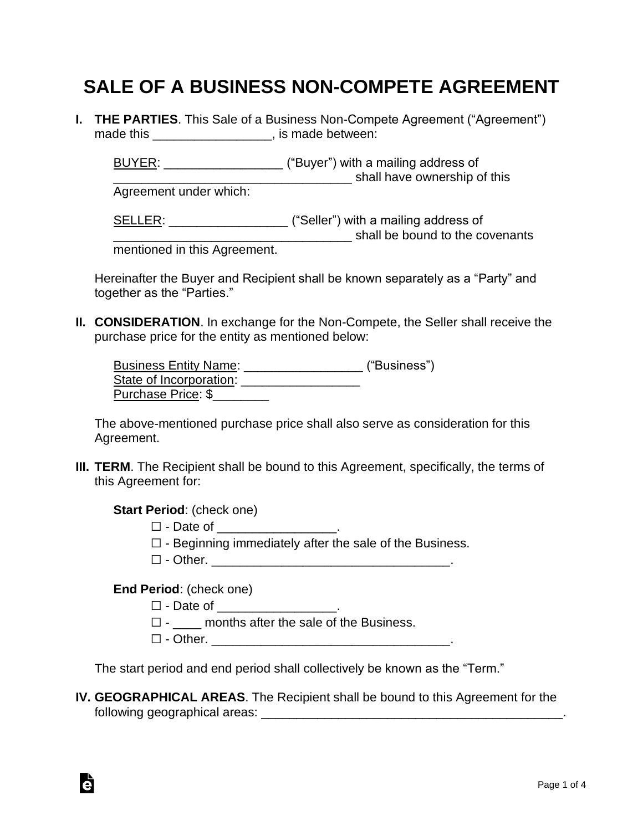## **SALE OF A BUSINESS NON-COMPETE AGREEMENT**

**I. THE PARTIES**. This Sale of a Business Non-Compete Agreement ("Agreement") made this **the contract of the contract of the made between:** 

BUYER: WE ALL ALCONSTRIANS ("Buyer") with a mailing address of \_\_\_\_\_\_\_\_\_\_\_\_\_\_\_\_\_\_\_\_\_\_\_\_\_\_\_\_\_\_\_\_\_\_ shall have ownership of this

Agreement under which:

SELLER: \_\_\_\_\_\_\_\_\_\_\_\_\_\_\_\_\_\_\_\_\_\_ ("Seller") with a mailing address of \_\_\_\_\_\_\_\_\_\_\_\_\_\_\_\_\_\_\_\_\_\_\_\_\_\_\_\_\_\_\_\_\_\_ shall be bound to the covenants

mentioned in this Agreement.

Hereinafter the Buyer and Recipient shall be known separately as a "Party" and together as the "Parties."

**II. CONSIDERATION**. In exchange for the Non-Compete, the Seller shall receive the purchase price for the entity as mentioned below:

| <b>Business Entity Name:</b> | ("Business") |
|------------------------------|--------------|
| State of Incorporation:      |              |
| Purchase Price: \$           |              |

The above-mentioned purchase price shall also serve as consideration for this Agreement.

**III. TERM**. The Recipient shall be bound to this Agreement, specifically, the terms of this Agreement for:

**Start Period**: (check one)

- □ Date of \_\_\_\_\_\_\_\_\_
- $\Box$  Beginning immediately after the sale of the Business.
- ☐ Other. \_\_\_\_\_\_\_\_\_\_\_\_\_\_\_\_\_\_\_\_\_\_\_\_\_\_\_\_\_\_\_\_\_\_.

**End Period**: (check one)

à

□ - Date of \_\_\_\_\_\_\_\_\_\_\_\_\_\_\_\_\_\_\_.

 $\Box$  - \_\_\_\_\_ months after the sale of the Business.

☐ - Other. \_\_\_\_\_\_\_\_\_\_\_\_\_\_\_\_\_\_\_\_\_\_\_\_\_\_\_\_\_\_\_\_\_\_.

The start period and end period shall collectively be known as the "Term."

**IV. GEOGRAPHICAL AREAS**. The Recipient shall be bound to this Agreement for the following geographical areas: \_\_\_\_\_\_\_\_\_\_\_\_\_\_\_\_\_\_\_\_\_\_\_\_\_\_\_\_\_\_\_\_\_\_\_\_\_\_\_\_\_\_\_.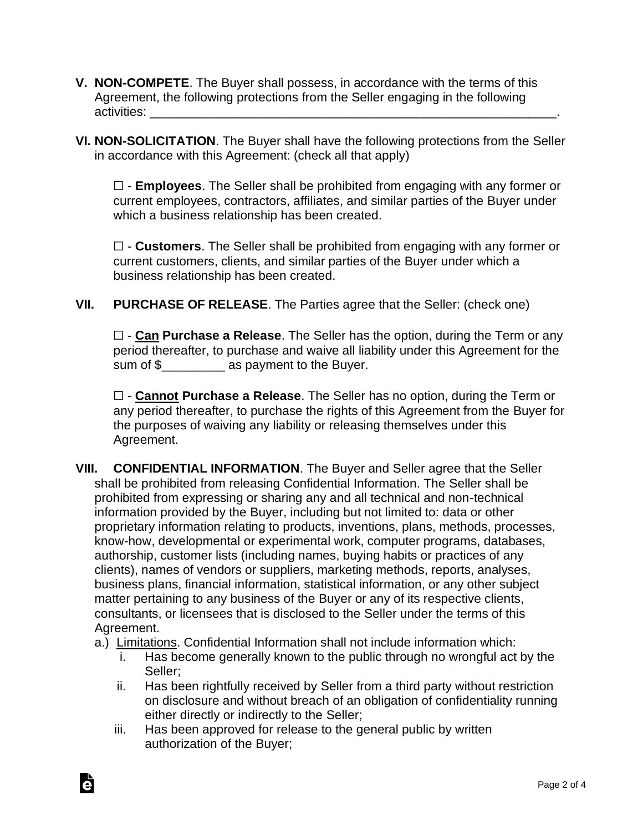- **V. NON-COMPETE**. The Buyer shall possess, in accordance with the terms of this Agreement, the following protections from the Seller engaging in the following activities:
- **VI. NON-SOLICITATION**. The Buyer shall have the following protections from the Seller in accordance with this Agreement: (check all that apply)

☐ - **Employees**. The Seller shall be prohibited from engaging with any former or current employees, contractors, affiliates, and similar parties of the Buyer under which a business relationship has been created.

☐ - **Customers**. The Seller shall be prohibited from engaging with any former or current customers, clients, and similar parties of the Buyer under which a business relationship has been created.

**VII. PURCHASE OF RELEASE**. The Parties agree that the Seller: (check one)

☐ - **Can Purchase a Release**. The Seller has the option, during the Term or any period thereafter, to purchase and waive all liability under this Agreement for the sum of \$\_\_\_\_\_\_\_\_\_ as payment to the Buyer.

☐ - **Cannot Purchase a Release**. The Seller has no option, during the Term or any period thereafter, to purchase the rights of this Agreement from the Buyer for the purposes of waiving any liability or releasing themselves under this Agreement.

- **VIII. CONFIDENTIAL INFORMATION**. The Buyer and Seller agree that the Seller shall be prohibited from releasing Confidential Information. The Seller shall be prohibited from expressing or sharing any and all technical and non-technical information provided by the Buyer, including but not limited to: data or other proprietary information relating to products, inventions, plans, methods, processes, know-how, developmental or experimental work, computer programs, databases, authorship, customer lists (including names, buying habits or practices of any clients), names of vendors or suppliers, marketing methods, reports, analyses, business plans, financial information, statistical information, or any other subject matter pertaining to any business of the Buyer or any of its respective clients, consultants, or licensees that is disclosed to the Seller under the terms of this Agreement.
	- a.) Limitations. Confidential Information shall not include information which:
		- i. Has become generally known to the public through no wrongful act by the Seller;
		- ii. Has been rightfully received by Seller from a third party without restriction on disclosure and without breach of an obligation of confidentiality running either directly or indirectly to the Seller;
		- iii. Has been approved for release to the general public by written authorization of the Buyer;

Ġ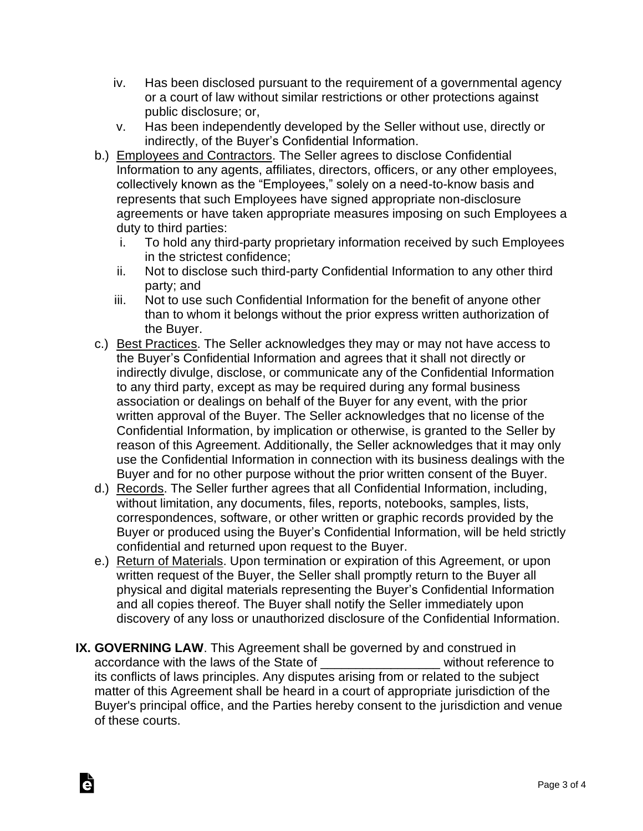- iv. Has been disclosed pursuant to the requirement of a governmental agency or a court of law without similar restrictions or other protections against public disclosure; or,
- v. Has been independently developed by the Seller without use, directly or indirectly, of the Buyer's Confidential Information.
- b.) Employees and Contractors. The Seller agrees to disclose Confidential Information to any agents, affiliates, directors, officers, or any other employees, collectively known as the "Employees," solely on a need-to-know basis and represents that such Employees have signed appropriate non-disclosure agreements or have taken appropriate measures imposing on such Employees a duty to third parties:
	- i. To hold any third-party proprietary information received by such Employees in the strictest confidence;
	- ii. Not to disclose such third-party Confidential Information to any other third party; and
	- iii. Not to use such Confidential Information for the benefit of anyone other than to whom it belongs without the prior express written authorization of the Buyer.
- c.) Best Practices. The Seller acknowledges they may or may not have access to the Buyer's Confidential Information and agrees that it shall not directly or indirectly divulge, disclose, or communicate any of the Confidential Information to any third party, except as may be required during any formal business association or dealings on behalf of the Buyer for any event, with the prior written approval of the Buyer. The Seller acknowledges that no license of the Confidential Information, by implication or otherwise, is granted to the Seller by reason of this Agreement. Additionally, the Seller acknowledges that it may only use the Confidential Information in connection with its business dealings with the Buyer and for no other purpose without the prior written consent of the Buyer.
- d.) Records. The Seller further agrees that all Confidential Information, including, without limitation, any documents, files, reports, notebooks, samples, lists, correspondences, software, or other written or graphic records provided by the Buyer or produced using the Buyer's Confidential Information, will be held strictly confidential and returned upon request to the Buyer.
- e.) Return of Materials. Upon termination or expiration of this Agreement, or upon written request of the Buyer, the Seller shall promptly return to the Buyer all physical and digital materials representing the Buyer's Confidential Information and all copies thereof. The Buyer shall notify the Seller immediately upon discovery of any loss or unauthorized disclosure of the Confidential Information.
- **IX. GOVERNING LAW**. This Agreement shall be governed by and construed in accordance with the laws of the State of **Example 20** without reference to its conflicts of laws principles. Any disputes arising from or related to the subject matter of this Agreement shall be heard in a court of appropriate jurisdiction of the Buyer's principal office, and the Parties hereby consent to the jurisdiction and venue of these courts.

Ġ